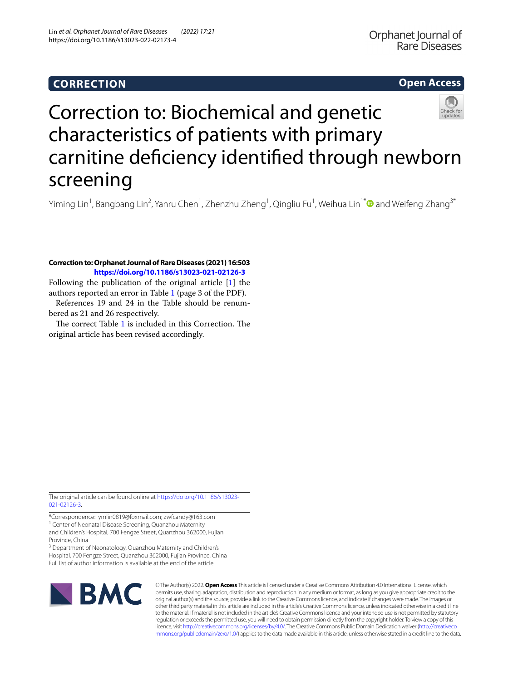# **CORRECTION**

# **Open Access**



# Correction to: Biochemical and genetic characteristics of patients with primary carnitine defciency identifed through newborn screening

Yiming Lin<sup>1</sup>, Bangbang Lin<sup>2</sup>, Yanru Chen<sup>1</sup>, Zhenzhu Zheng<sup>1</sup>, Qingliu Fu<sup>1</sup>, Weihua Lin<sup>1[\\*](http://orcid.org/0000-0002-7415-2758)</sup>❶ and Weifeng Zhang<sup>3\*</sup>

## **Correction to: Orphanet Journal of Rare Diseases (2021) 16:503 <https://doi.org/10.1186/s13023-021-02126-3>**

Following the publication of the original article [\[1](#page-2-0)] the authors reported an error in Table [1](#page-1-0) (page 3 of the PDF).

References 19 and 24 in the Table should be renumbered as 21 and 26 respectively.

The correct Table  $1$  is included in this Correction. The original article has been revised accordingly.

The original article can be found online at [https://doi.org/10.1186/s13023-](https://doi.org/10.1186/s13023-021-02126-3) [021-02126-3](https://doi.org/10.1186/s13023-021-02126-3).

\*Correspondence: ymlin0819@foxmail.com; zwfcandy@163.com <sup>1</sup> Center of Neonatal Disease Screening, Quanzhou Maternity

and Children's Hospital, 700 Fengze Street, Quanzhou 362000, Fujian Province, China

<sup>3</sup> Department of Neonatology, Quanzhou Maternity and Children's Hospital, 700 Fengze Street, Quanzhou 362000, Fujian Province, China Full list of author information is available at the end of the article



© The Author(s) 2022. **Open Access** This article is licensed under a Creative Commons Attribution 4.0 International License, which permits use, sharing, adaptation, distribution and reproduction in any medium or format, as long as you give appropriate credit to the original author(s) and the source, provide a link to the Creative Commons licence, and indicate if changes were made. The images or other third party material in this article are included in the article's Creative Commons licence, unless indicated otherwise in a credit line to the material. If material is not included in the article's Creative Commons licence and your intended use is not permitted by statutory regulation or exceeds the permitted use, you will need to obtain permission directly from the copyright holder. To view a copy of this licence, visit [http://creativecommons.org/licenses/by/4.0/.](http://creativecommons.org/licenses/by/4.0/) The Creative Commons Public Domain Dedication waiver ([http://creativeco](http://creativecommons.org/publicdomain/zero/1.0/) [mmons.org/publicdomain/zero/1.0/](http://creativecommons.org/publicdomain/zero/1.0/)) applies to the data made available in this article, unless otherwise stated in a credit line to the data.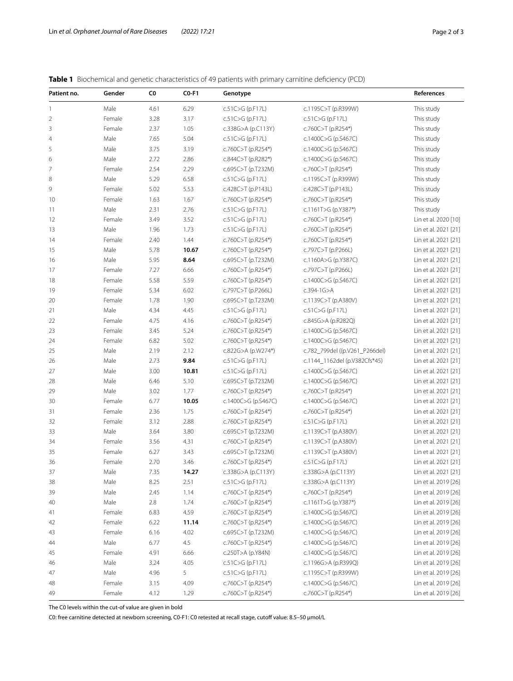<span id="page-1-0"></span>**Table 1** Biochemical and genetic characteristics of 49 patients with primary carnitine deficiency (PCD)

| Patient no.    | Gender | C0   | $CO-F1$ | Genotype             |                                | References           |
|----------------|--------|------|---------|----------------------|--------------------------------|----------------------|
| $\mathbf{1}$   | Male   | 4.61 | 6.29    | c.51C>G (p.F17L)     | c.1195C>T (p.R399W)            | This study           |
| 2              | Female | 3.28 | 3.17    | c.51C>G (p.F17L)     | c.51C>G (p.F17L)               | This study           |
| 3              | Female | 2.37 | 1.05    | c.338G>A (p.C113Y)   | c.760C>T (p.R254*)             | This study           |
| $\overline{4}$ | Male   | 7.65 | 5.04    | c.51C>G (p.F17L)     | c.1400C>G (p.S467C)            | This study           |
| 5              | Male   | 3.75 | 3.19    | c.760C>T (p.R254*)   | c.1400C>G (p.S467C)            | This study           |
| 6              | Male   | 2.72 | 2.86    | c.844C>T (p.R282*)   | c.1400C>G (p.S467C)            | This study           |
| 7              | Female | 2.54 | 2.29    | c.695C>T (p.T232M)   | c.760C>T (p.R254*)             | This study           |
| 8              | Male   | 5.29 | 6.58    | c.51C>G (p.F17L)     | c.1195C>T (p.R399W)            | This study           |
| 9              | Female | 5.02 | 5.53    | c.428C>T (p.P143L)   | c.428C>T (p.P143L)             | This study           |
| 10             | Female | 1.63 | 1.67    | c.760C>T (p.R254*)   | c.760C>T (p.R254*)             | This study           |
| 11             | Male   | 2.31 | 2.76    | c.51C>G (p.F17L)     | c.1161T>G (p.Y387*)            | This study           |
| 12             | Female | 3.49 | 3.52    | c.51C>G (p.F17L)     | c.760C>T (p.R254*)             | Lin et al. 2020 [10] |
| 13             | Male   | 1.96 | 1.73    | c.51C>G (p.F17L)     | c.760C>T (p.R254*)             | Lin et al. 2021 [21] |
| 14             | Female | 2.40 | 1.44    | c.760C>T (p.R254*)   | c.760C>T (p.R254*)             | Lin et al. 2021 [21] |
| 15             | Male   | 5.78 | 10.67   | c.760C>T (p.R254*)   | c.797C>T (p.P266L)             | Lin et al. 2021 [21] |
| 16             | Male   | 5.95 | 8.64    | c.695C>T (p.T232M)   | c.1160A>G (p.Y387C)            | Lin et al. 2021 [21] |
| 17             | Female | 7.27 | 6.66    | c.760C>T (p.R254*)   | c.797C>T (p.P266L)             | Lin et al. 2021 [21] |
| 18             | Female | 5.58 | 5.59    | c.760C>T (p.R254*)   | c.1400C>G (p.S467C)            | Lin et al. 2021 [21] |
| 19             | Female | 5.34 | 6.02    | c.797C>T (p.P266L)   | $c.394 - 1G > A$               | Lin et al. 2021 [21] |
| 20             | Female | 1.78 | 1.90    | c.695C>T (p.T232M)   | c.1139C>T (p.A380V)            | Lin et al. 2021 [21] |
| 21             | Male   | 4.34 | 4.45    | $c.51C > G$ (p.F17L) | c.51C>G (p.F17L)               | Lin et al. 2021 [21] |
| 22             | Female | 4.75 | 4.16    | c.760C>T (p.R254*)   | c.845G>A (p.R282Q)             | Lin et al. 2021 [21] |
| 23             | Female | 3.45 | 5.24    | c.760C>T (p.R254*)   | c.1400C>G (p.S467C)            | Lin et al. 2021 [21] |
| 24             | Female | 6.82 | 5.02    | c.760C>T (p.R254*)   | c.1400C>G (p.S467C)            | Lin et al. 2021 [21] |
| 25             | Male   | 2.19 | 2.12    | c.822G>A (p.W274*)   | c.782_799del ((p.V261_P266del) | Lin et al. 2021 [21] |
| 26             | Male   | 2.73 | 9.84    | c.51C>G (p.F17L)     | c.1144_1162del (p.V382Cfs*45)  | Lin et al. 2021 [21] |
| 27             | Male   | 3.00 | 10.81   | c.51C>G (p.F17L)     | c.1400C>G (p.S467C)            | Lin et al. 2021 [21] |
| 28             | Male   | 6.46 | 5.10    | c.695C>T (p.T232M)   | c.1400C>G (p.S467C)            | Lin et al. 2021 [21] |
| 29             | Male   | 3.02 | 1.77    | c.760C>T (p.R254*)   | c.760C>T (p.R254*)             | Lin et al. 2021 [21] |
| 30             | Female | 6.77 | 10.05   | c.1400C>G (p.S467C)  | c.1400C>G (p.S467C)            | Lin et al. 2021 [21] |
| 31             | Female | 2.36 | 1.75    | c.760C>T (p.R254*)   | c.760C>T (p.R254*)             | Lin et al. 2021 [21] |
| 32             | Female | 3.12 | 2.88    | c.760C>T (p.R254*)   | c.51C>G (p.F17L)               | Lin et al. 2021 [21] |
| 33             | Male   | 3.64 | 3.80    | c.695C>T (p.T232M)   | c.1139C>T (p.A380V)            | Lin et al. 2021 [21] |
| 34             | Female | 3.56 | 4.31    | c.760C>T (p.R254*)   | c.1139C>T (p.A380V)            | Lin et al. 2021 [21] |
| 35             | Female | 6.27 | 3.43    | c.695C>T (p.T232M)   | c.1139C>T (p.A380V)            | Lin et al. 2021 [21] |
| 36             | Female | 2.70 | 3.46    | c.760C>T (p.R254*)   | c.51C>G (p.F17L)               | Lin et al. 2021 [21] |
| 37             | Male   | 7.35 | 14.27   | c.338G>A (p.C113Y)   | c.338G>A (p.C113Y)             | Lin et al. 2021 [21] |
| 38             | Male   | 8.25 | 2.51    | c.51C>G (p.F17L)     | c.338G>A (p.C113Y)             | Lin et al. 2019 [26] |
| 39             | Male   | 2.45 | 1.14    | c.760C>T (p.R254*)   | c.760C>T (p.R254*)             | Lin et al. 2019 [26] |
| 40             | Male   | 2.8  | 1.74    | c.760C>T (p.R254*)   | c.1161T>G (p.Y387*)            | Lin et al. 2019 [26] |
| 41             | Female | 6.83 | 4.59    | c.760C>T (p.R254*)   | c.1400C>G (p.S467C)            | Lin et al. 2019 [26] |
| 42             | Female | 6.22 | 11.14   | c.760C>T (p.R254*)   | c.1400C>G (p.S467C)            | Lin et al. 2019 [26] |
| 43             | Female | 6.16 | 4.02    | c.695C>T (p.T232M)   | c.1400C>G (p.S467C)            | Lin et al. 2019 [26] |
| 44             | Male   | 6.77 | 4.5     | c.760C>T (p.R254*)   | c.1400C>G (p.S467C)            | Lin et al. 2019 [26] |
| 45             | Female | 4.91 | 6.66    | c.250T>A (p.Y84N)    | c.1400C>G (p.S467C)            | Lin et al. 2019 [26] |
| 46             | Male   | 3.24 | 4.05    | c.51C>G (p.F17L)     | c.1196G>A (p.R399Q)            | Lin et al. 2019 [26] |
| 47             | Male   | 4.96 | 5       | c.51C>G (p.F17L)     | c.1195C>T (p.R399W)            | Lin et al. 2019 [26] |
| 48             | Female | 3.15 | 4.09    | c.760C>T (p.R254*)   | c.1400C>G (p.S467C)            | Lin et al. 2019 [26] |
| 49             | Female | 4.12 | 1.29    | c.760C>T (p.R254*)   | c.760C>T (p.R254*)             | Lin et al. 2019 [26] |

The C0 levels within the cut-of value are given in bold

C0: free carnitine detected at newborn screening, C0-F1: C0 retested at recall stage, cutof value: 8.5–50 μmol/L